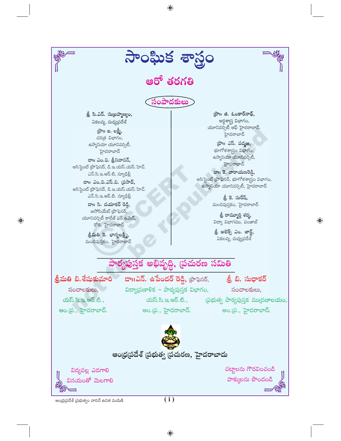

 $\bigoplus$ 

 $\bigoplus$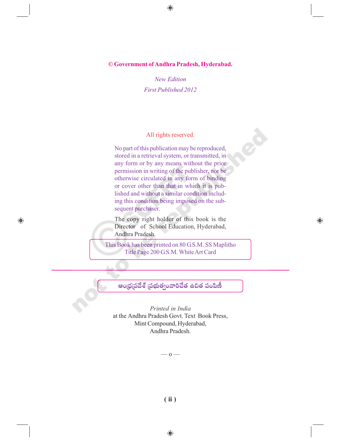**© Government of Andhra Pradesh, Hyderabad.**

 $\bigoplus$ 

*New Edition First Published 2012*

#### All rights reserved.

No part of this publication may be reproduced, stored in a retrieval system, or transmitted, in any form or by any means without the prior permission in writing of the publisher, nor be otherwise circulated in any form of binding or cover other than that in which it is published and without a similar condition including this condition being imposed on the subsequent purchaser.

The copy right holder of this book is the Director of School Education, Hyderabad, Andhra Pradesh.

 $\bigoplus$ 

 $\bigoplus$ 

This Book has been printed on 80 G.S.M. SS Maplitho Title Page 200 G.S.M. White Art Card

ఆంధ్రప్రదేశ్ ప్రభుత్వంవారిచేత ఉచిత పంపిణీ

*Printed in India* at the Andhra Pradesh Govt. Text Book Press, Mint Compound, Hyderabad, Andhra Pradesh.

–– o ––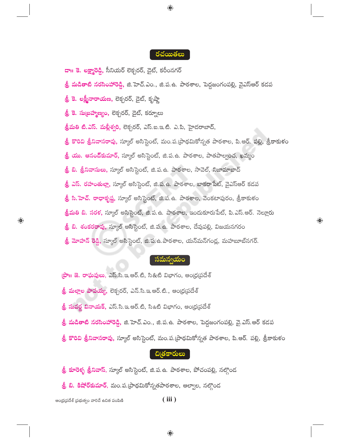#### రచయితలు

 $\bigoplus$ 

<mark>దా౹౹ కె. లక్ష్మారెడ్డి,</mark> సీనియర్ లెక్చరర్, డైట్, కరీంనగర్

- <mark>ల్రీ మడితాటి నరసింహారెడ్డి,</mark> జి.హెచ్.ఎం., జి.ప.ఉ. పాఠశాల, పెద్దజంగంపల్లి, వైఎస్ఆర్ కడప
- <mark>త్రీ కె. లక్ష్మీనారాయణ,</mark> లెక్చరర్, డైట్, కృష్ణా

<mark> శ్రీ కె. సుబ్రహ్మణ్యం,</mark> లెక్చరర్, డైట్, కర్నూలు

త్రీమతి టి.ఎస్. మల్లీశ్వరి, లెక్చరర్, ఎస్.ఐ.ఇ.టి. ఎ.పి, హైదరాబాద్,

<mark>త్రీ కొరివి త్రీనివాసరావు,</mark> స్కూల్ అసిస్టెంట్, మం.ప.(పాథమికోన్నత పాఠశాల, పి.ఆర్. పల్లి, శ్రీకాకుళం

<mark>త్రీ యు. ఆనంద్కుమార్,</mark> స్కూల్ అసిస్టెంట్, జి.ప.ఉ. పాఠశాల, పాతపాల్వంచ, ఖమ్మం

<mark>ల్రీ బి. త్రీనివాసులు,</mark> స్కూల్ అసిస్టెంట్, జి.ప.ఉ. పాఠశాల, సావెల్, నిజామాబాద్

<mark> శ్రీ ఎస్. రహంతుల్లా</mark>, స్కూల్ అసిస్టెంట్, జి.ప.ఉ. పాఠశాల, బాకరాపేట్, వైఎస్ఆర్ కడప

<mark>ల్రీ సి.హెచ్. రాధాకృష్ణ</mark>, స్కూల్ అసిస్టెంట్, జి.ప.ఉ. పాఠశాల, వెంకటాపురం, శ్రీకాకుళం

<mark>శ్రీమతి బి. సరళ,</mark> స్కూల్ అసిస్టెంట్, జి.ప.ఉ. పాఠశాల, ఇందుకూరుపేట్, పి.ఎస్.ఆర్. నెల్లూరు

 $\bigoplus$ 

<mark>త్రీ బి. శంకరరావు,</mark> స్కూల్ అసిస్టెంట్, జి.ప.ఉ. పాఠశాల, దేవుపల్లి, విజయనగరం

<mark>త్రీ మోహన్ రెడ్డి</mark>, స్కూల్ అసిస్టెంట్, జి.ప.ఉ.పాఠశాల, యన్మన్గండ్ల, మహబూబ్నగర్.

#### **)మన్వయం**

ஜுப జె. రాఘవులు, ఎస్.సి.ఇ.ఆర్.టి, సి&టి విభాగం, ఆంధ్రప్రదేశ్

<mark>శ్రీ మల్లాల పాపయ్య</mark>, లెక్చరర్, ఎన్.సి.ఇ.ఆర్.టి., ఆంధ్రప్రదేశ్

<mark>శ్రీ సువర్ణ వినాయక్,</mark> ఎస్.సి.ఇ.ఆర్.టి, సి&టీ విభాగం, ఆంధ్రప్రదేశ్

<mark>శ్రీ మడితాటి నరసింహారె</mark>డ్డి, జి.హెచ్.ఎం., జి.ప.ఉ. పాఠశాల, పెద్దజంగంపల్లి, వై.ఎస్.ఆర్ కడప

<mark>త్రీ కొరివి త్రీనివాసరావు,</mark> స్కూల్ అసిస్టెంట్, మం.ప.[పాథమికోన్నత పాఠశాల, పి.ఆర్. పల్లి, శ్రీకాకుళం

## చిత్రకారులు

<mark>త్రీ కూరెళ్ళ త్రీనివాస్</mark>, స్కూల్ అసిస్టెంట్, జి.ప.ఉ. పాఠశాల, పోచంపల్లి, నల్గొంద

8 బి. కిషోర్**కుమార్**, మం.ప.(పాథమికోన్నతపాఠశాల, ఆల్వాల, నల్గొండ

ఆంధ్రప్రదేశ్ (పభుత్వం వారిచే ఉచిత పంపిణి

 $\bigoplus$ 

 $(iii)$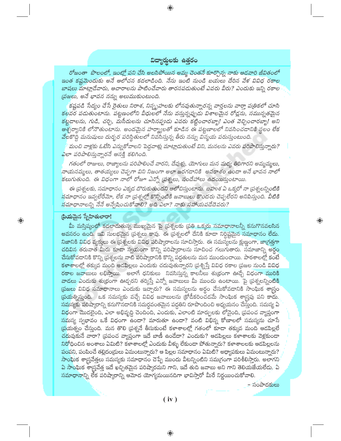### విద్యార్థులకు ఉత్తరం

 $\bigoplus$ 

రోజంతా పొలంలో, ఇంట్లో పని చేసి అలసిపోయిన అమ్మ చెంతనే కూర్చొన్న నాకు ఆడవారి జీవితంలో ఇంత కష్టమెందుకు అనే ఆలోచన కదలాడింది. నేను ఇంటి నుండి బయలు దేరిన వేళ వివిధ రకాల బాషలు మాట్లాడేవారు, ఆచారాలను పాటించేవారు తారసపడుతుంటే ఎవరు వీరు? ఎందుకు ఇన్ని రకాల 'ప్రజలు, అనే భావన నన్ను అలుముకుంటుంది.

కష్టపడి సేద్యం చేసే రైతులు నిరాశ, నిస్మృహలకు లోనవుతున్నారన్న వార్తలను వార్తా పఱ్రికలో చూసి కలవర పడుతుంటాను. పట్టణంలోని వీధులలో నేను వస్తున్నప్పుడు విశాలమైన రోడ్లను, సమున్నతమైన కట్టడాలను, గుడి, చర్చి, మసీదులను చూసినప్పుడు ఎవరు కట్టించారబ్బా! ఎంత వెచ్చించారబ్బా! అని ఆశ్చర్యానికి లోనౌతుంటాను. అందమైన హర్మ్యాలతో కూడిన ఈ పట్టణాలలో నివసించదానికి స్థలం లేక వేలకొద్ది మనుషులు దుర్భర పరిస్థితులలో నివసిస్తున్న తీరు నన్ను విస్మయ పరుస్తుంటుంది.

మంచి వాళ్లకు ఓటేసి ఎన్నుకోవాలని పెద్దవాళ్లు మాట్లాదుతుంటే విని, మనలను ఎవరు పరిపాలిస్తున్నారు? ఎలా పరిపాలిస్తున్నారనే ఆసక్తి కలిగింది.

గతంలో రాజులు, రాజ్యాలను పరిపాలించే వారని, దేవుళ్లు, యోగులు మన మధ్య తిరిగారని అమ్మమ్మలు, నాయనమ్మలు, తాతయ్యలు చెప్పగా విని నిజంగా అలా జరగడానికి అవకాశం ఉందా అనే భావన నాలో కలుగుతుంది. ఈ విధంగా నాలో రోజూ ఎన్నో (పశ్నలు, సందేహాలు ఉదయిస్తుంటాయి.

ఈ (పశ్నలకు, సమాధానం ఎక్కడ దొరుకుతుందని ఆలోచిస్తుంటాను. బహుశ ఏ ఒక్కరో నా (పశ్నలన్నింటికి నమాధానం ఇవ్వలేరేమో, లేక నా (పశ్నల్లో కొన్నింటికి జవాబులు కొందరు చెప్పలేరని అనిపిస్తుంది. వీటికి నమాధానాలన్ని నేనే అన్వేషించుకోవాలి? అది ఎలా? నాకు సహాయపడేదెవరు?

#### ప్రియమైన స్నేహితులారా!

 $\bigoplus$ 

<mark>మీ మస్తిష్కంలో కదలాదుతు</mark>న్న ముఖ్యమైన పై (పశ్నలకు (పతి ఒక్కరు సమాధానాలన్నీ కనుగొనవలసిన అవసరం ఉంది. ఇవి సులభమైన (పశ్నలు కావు. ఈ (పశ్నలలో దేనికి కూడా నిర్దిష్టమైన సమాధానం లేదు. నిజానికి వివిధ వ్యక్తులు ఈ (పశ్నలకు వివిధ పరిష్కారాలను సూచిస్తారు. ఈ సమస్యలను క్షుణ్ణంగా, జా[గత్తగా చదివిన తరువాత మీరు కూడా స్వయంగా కొన్ని పరిష్కారాలను సూచించ గలుగుతారు. సమాజాన్ని అర్థం చేసుకోవదానికి కొన్ని ప్రశ్నలను వాటి పరిష్కారానికి కొన్ని పద్ధతులను మన ముందుంచాయి. పాఠశాలల్లో కంటే <mark>కళాశాలల్లో తక్కువ మంది ఆడపిల్లలు ఎందుకు చదువుతున్నారని (పశ్నిస్తే వివిధ రకాల (పజల నుండి వివిధ</mark> రకాల జవాబులు లభిస్తాయి. అలాగే ధనికులు నివసిస్తున్న కాలనీలు శు(భంగా ఊడ్చే విధంగా మురికి వాడలు ఎందుకు శు(భంగా ఊడ్చరని తర్కిస్తే ఎన్నో జవాబులు మీ ముందు ఉంటాయి. పై (పశ్నలన్నింటికి <mark>(పజలు వివిధ సమాధానాలు ఎందుకు ఇచ్చారు? ఈ సమస్యలను అర్థం చేసుకోవడానికి సాంఘిక శా</mark>గ్రం స్రయత్నిస్తుంది. ఒక సమస్యకు వచ్చే వివిధ జవాబులను క్రోడీకరించడమే సాంఘిక శాస్త్రపు పని కాదు. సమస్యకు పరిష్కారాన్ని కనుగొనడానికి సమర్థవంతమైన పద్దతిని రూపొందించి అధ్యయనం చేస్తుంది. సమస్య ఏ విధంగా మొదలైంది, ఎలా అభివృద్ధి చెందింది, ఎందుకు, ఎలాంటి మార్పులకు లోనైంది, (పపంచ వ్యాప్తంగా <mark>సమస్య స్వభావం ఒకే విధంగా ఉందా? మారుతూ ఉందా? వంటి విభిన్న కోణాలలో సమస్యను చూసే</mark> ర్రుయత్నం చేస్తుంది. మన తొలి ప్రశ్ననే తీసుకుంటే కళాశాలల్లో గతంలో కూడా తక్కువ మంది ఆడపిల్లలే <u>చదువుకునే వారా? (ప</u>పంచ వ్యాప్తంగా ఇదే బాణీ ఉండేదా? ఎందుకు? ఆడపిల్లలు కళాశాలకు వెళ్లకుండా నిరోధించిన అంశాలు ఏమిటి? కళాశాలల్లో ఎందుకు వీళ్ళు లేకుండా పోతున్నారు? కళాశాలలకు ఆడపిల్లలను పంపని, పంపించే తల్లిదం(డులు ఏమంటున్నారు? ఆ పిల్లల సమాధానం ఏమిటి? అధ్యాపకులు ఏమంటున్నారు? సాంఘిక శాస్త్రవేత్తలు సమస్యకు సమాధానం చెప్పే ముందు వీటన్నింటిని సమగ్రంగా పరిశీలిస్తారు. అలాగని ఏ సాంఘిక శాస్ర్రవేత్త ఇదే ఖచ్చితమైన పరిష్కారమని గాని, ఇదే తుది జవాబు అని గాని తెలియజేయలేదు. ఏ <mark>సమాధానా</mark>న్ని లేక పరిష్కారాన్ని ఆమోద యోగ్యమయినదిగా భావిస్తారో మీరే నిర్ణయించుకోవాలి.

 $\textcircled{\scriptsize\textsf{P}}$ 

 $(iv)$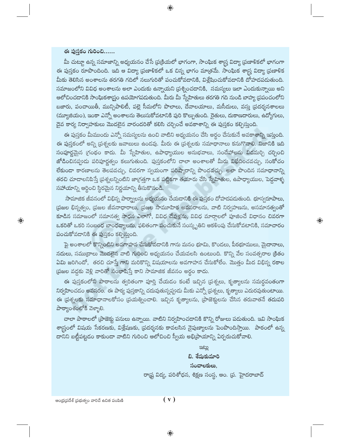## ఈ పుస్తకం గురించి......

 $\bigoplus$ 

మీ చుట్టూ ఉన్న సమాజాన్ని అధ్యయనం చేసే (పుక్రియలో భాగంగా, సాంఘిక శా|స్త విద్యా (పణాళికలో భాగంగా ఈ పుస్తకం రూపొందింది. ఇది ఆ విద్యా (పణాళికలో ఒక చిన్న భాగం మాత్రమే. సాంఘిక శా[స్త్ర విద్యా (పణాళిక మీకు తెలిసిన అంశాలను తరగతి గదిలో నలుగురితో పంచుకోవదానికి, విశ్లేషించుకోవదానికి దోహదపడుతుంది. సమాజంలోని వివిధ అంశాలను అలా ఎందుకు ఉన్నాయని [పశ్నించడానికి, సమస్యలు ఇలా ఎందుకున్నాయి అని ఆలోచించదానికి సాంఘికశాస్త్రం ఉపయోగపడుతుంది. మీరు మీ స్నేహితులు తరగతి గది నుండి బాహ్య ప్రపంచంలోని బజారు, పంచాయితీ, మున్సిపాలిటీ, పల్లె సీమలోని పొలాలు, దేవాలయాలు, మసీదులు, వస్తు (పదర్శనశాలలు (మ్యూజియం), ఇంకా ఎన్నో అంశాలను తెలుసుకోవటానికి పురి కొల్పుతుంది. రైతులు, దుకాణదారులు, ఉద్యోగులు, దైవ కార్య నిర్వాహకులు మొదలైన వారందరితో కలిసి చర్చించే అవకాశాన్ని ఈ పుస్తకం కల్పిస్తుంది.

⊕

ఈ పుస్తకం మీముందు ఎన్నో సమస్యలను ఉంచి వాటిని అధ్యయనం చేసి అర్థం చేసుకునే అవకాశాన్ని ఇస్తుంది. ఈ పుస్తకంలో అన్ని (పశ్నలకు జవాబులు ఉండవు. మీరు ఈ (పశ్నలకు సమాధానాలు కనుగొనాలి. నిజానికి ఇది సంపూర్ణమైన గ్రంథం కాదు. మీ స్నేహితుల, ఉపాధ్యాయుల అనుభవాలు, సందేహాలను విడమర్చి చర్చించి జోడించినప్పుడు పరిపూర్ణత్వం కలుగుతుంది. పుస్తకంలోని చాలా అంశాలతో మీరు విభేదించవచ్చు, సంకోచం లేకుండా కారణాలను తెలపవచ్చు, చివరగా స్వయంగా పరిష్మారాన్ని పొందవచ్చు. అలా పొందిన సమాధానాన్ని తరచి చూదాలనిపిస్తే ప్రశ్నలన్నింటిని జాగ్రత్తగా ఒక పట్టికగా తయారు చేసి స్నేహితుల, ఉపాధ్యాయుల, పెద్దవాళ్ళ సహాయాన్ని ఆర్థించి స్థిరమైన నిర్ణయాన్ని తీసుకొనండి.

సామాజిక జీవనంలో విభిన్న పార్శ్వాలను అధ్యయనం చేయదానికి ఈ పుస్తకం దోహదపడుతుంది. భూస్వరూపాలు, (పజల భిన్నత్వం, (పజల జీవనాధారాలు, (పజల సామూహిక అవసరాలను, వాటి నిర్వహణను, అసమానత్వంతో కూడిన సమాజంలో సమానత్వ సాధన ఎలాగో, వివిధ దేవుళ్లను, వివిధ మార్గాలలో పూజించే విధానం చివరగా ఒకరితో ఒకరి సంబంధ బాంధవ్యాలను, ఫలితంగా పంచుకునే సంస్కృతిని ఆకళింపు చేసుకోవటానికి, సమాచారం పంచుకోవడానికి ఈ పుస్తకం కల్పిస్తుంది.

పై అంశాలలో కొన్నింటిని అవగాహన చేసుకోవడానికి గాను మనం భూమి, కొండలు, పీఠభూములు, మైదానాలు, నదులు, సముద్రాలు మొదలైన వాటి గురించి అధ్యయనం చేయవలసి ఉంటుంది. కొన్ని వేల సంవత్సరాల క్రితం ఏమి జరిగిందో, తరచి చూస్తే గాని మరికొన్ని విషయాలను అవగాహన చేసుకోలేం. మొత్తం మీద విభిన్న రకాల స్రజల వద్దకు వెళ్లి వారితో సంభాషిస్తే కాని సామాజిక జీవనం అర్థం కాదు.

ఈ పుస్తకంలోని పాఠాలను త్వరితంగా పూర్తి చేయడం కంటే ఇచ్చిన (పశ్నలు, కృత్యాలను సమర్థవంతంగా నిర్వహించడం అవసరం. ఈ పాఠ్య పుస్తకాన్ని చదువుతున్నప్పుడు మీకు ఎన్నో (పశ్నలు, కృత్యాలు ఎదురవుతుంటాయి. ఈ ప్రశ్నలకు సమాధానాలకోసం ప్రయత్నించాలి. ఇచ్చిన కృత్యాలను, [పాజెక్టులను చేసిన తరువాతనే తదుపరి పాఠ్యాంశంలోకి వెళ్ళాలి.

చాలా పాఠాలలో (పాజెక్టు పనులు ఉన్నాయి. వాటిని నిర్వహించడానికి కొన్ని రోజులు పడుతుంది. ఇవి సాంఘిక శాస్త్రంలో విషయ సేకరణకు, విశ్లేషణకు, ప్రదర్శనకు కావలసిన నైపుణ్యాలను పెంపొందిస్తాయి. పాఠంలో ఉన్న దానిని బట్టీపట్టడం కాకుండా వాటిని గురించి ఆలోచించి స్వీయ అభిౖిపాయాన్ని ఏర్పరుచుకోవాలి.

> ಇಟು బి. శేమకుమారి సంచాలకులు. రా(ష్ట విద్య, పరిశోధన, శిక్షణ సంస్థ, ఆం. (ప. హైదరాబాద్

 $\bigoplus$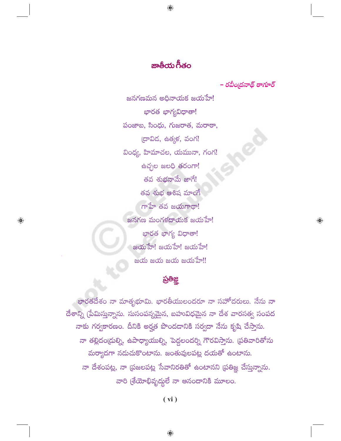# జాతీయ గీతం

 $\bigoplus$ 

– రవీం<sub>l</sub>దనాథ్ ఠా<mark>గ</mark>ూర్

 $\bigoplus$ 

జనగణమన అధినాయక జయహే! భారత భాగ్యవిధాతా! పంజాబ, సింధు, గుజరాత, మరాఠా, (దావిడ, ఉత్మక, వంగ! వింధ్య, హిమాచల, యమునా, గంగ! ఉచ్చల జలధి తరంగా! తవ శుభనామే జాగే<mark>!</mark> తవ శుభ ఆశిష మాంగే గాహే తవ జయగాథా! జనగణ మంగళదాయక జయహే! భారత భాగ్య విధాతా!  $\infty$ သားသားကြီး အတာအား  $\approx$   $\infty$   $\approx$   $\infty$   $\infty$   $\infty$   $\infty$   $\infty$   $\infty$   $\infty$   $\infty$   $\infty$   $\infty$   $\infty$   $\infty$   $\infty$   $\infty$   $\infty$   $\infty$   $\infty$   $\infty$   $\infty$   $\infty$   $\infty$   $\infty$   $\infty$   $\infty$   $\infty$   $\infty$   $\infty$   $\infty$   $\infty$   $\infty$   $\infty$   $\infty$   $\infty$   $\infty$ 

 $\bigoplus$ 

## ప్రతీజ్ఞ

భారతదేశం నా మాతృభూమి. భారతీయులందరూ నా సహోదరులు. నేను నా దేశాన్ని (పేమిస్తున్నాను. సుసంపన్నమైన, బహువిధమైన నా దేశ వారసత్వ సంపద నాకు గర్వకారణం. దీనికి అర్హత పొందడానికి సర్వదా నేను కృషి చేస్తాను. నా తల్లిదం(దుల్ని, ఉపాధ్యాయుల్ని, పెద్దలందర్ని గౌరవిస్తాను. (పతివారితోను మర్యాదగా నడుచుకొంటాను. జంతువులపట్ల దయతో ఉంటాను. నా దేశంపట్ల, నా (పజలపట్ల సేవానిరతితో ఉంటానని (పతిజ్ఞ చేస్తున్నాను. వారి (శేయోభివృద్ధులే నా ఆనందానికి మూలం.

 $(vi)$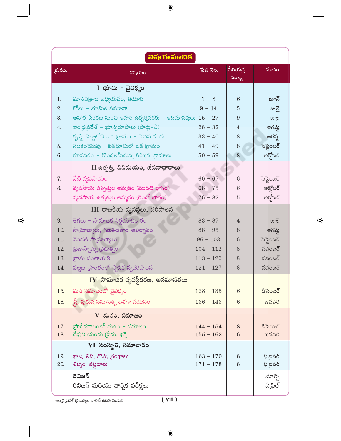| බිබුරෝ බාංඩජ් |                                                               |             |                          |            |
|---------------|---------------------------------------------------------------|-------------|--------------------------|------------|
| <u>క్.సం.</u> | విషయం                                                         | పేజి నెం.   | <u>పీరియద్ద</u><br>సంఖ్య | మాసం       |
|               | I భూమి – వైవిధ్యం                                             |             |                          |            |
| 1.            | మానచిఁతాల అధ్యయనం, తయారీ                                      | $1 - 8$     | 6                        | జూన్       |
| 2.            | గ్లోబు – భూమికి నమూనా                                         | $9 - 14$    | 5                        | జులై       |
| 3.            | ఆహార సేకరణ నుంచి ఆహార ఉత్పత్తివరకు – ఆదిమానవులు $15$ – $27\,$ |             | 9                        | జులై       |
| 4.            | ఆంధ్రప్రదేశ్ – భూస్వరూపాలు (పార్శ–ఎ)                          | $28 - 32$   | $\overline{4}$           | ఆగష్ట      |
|               | కృష్ణా డెల్టాలోని ఒక గ్రామం – పెనమకూరు                        | $33 - 40$   | 8                        | ఆగష్ట      |
| 5.            | సలకంచెరువు – పీఠభూమిలో ఒక గ్రామం                              | $41 - 49$   | 8                        | సెప్టెంబర్ |
| 6.            | కూనవరం – కొండలమీదున్న గిరిజన <mark>గ్రా</mark> మాలు           | $50 - 59$   | 8                        | అక్టోబర్   |
|               | II ఉత్పత్తి, వినిమయం, జీవనాధారాలు                             |             |                          |            |
| 7.            | నేటి వ్యవసాయం                                                 | $60 - 67$   | 6                        | సెప్టెంబర్ |
| 8.            | వ్యవసాయ ఉత్పత్తుల అమ్మకం (మొదటి భాగం)                         | $68 - 75$   | 6                        | అక్ట్రోబర్ |
|               | వ్యవసాయ ఉత్పత్తుల అమ్మకం (రెండో భాగం)                         | $76 - 82$   | 5                        | అక్తోబర్   |
|               | III రాజకీయ వ్యవస్థలు, పరిపాలన                                 |             |                          |            |
| 9.            | తెగలు – సామాజిక నిర్ణ <mark>యాధికా</mark> రం                  | $83 - 87$   | 4                        | జులై       |
| 10.           | సాయ్రాజ్యాలు, గణతం[తాల ఆవిర్భావం                              | $88 - 95$   | 8                        | ఆగష్ట      |
| 11.           | మొదటి సామ్రాజ్యాలు                                            | $96 - 103$  | 6                        | సెప్టెంబర్ |
| 12.           | ప్రజాస్వామ్య (పభుత్వం                                         | $104 - 112$ | 8                        | నవంబర్     |
| 13.           | గామ పంచాయతి                                                   | $113 - 120$ | 8                        | నవంబర్     |
| 14.           | పట్టణ (పాంతంలో స్థానిక స్వపరిపాలన                             | $121 - 127$ | 6                        | నవంబర్     |
|               | $\bf{IV}$ సామాజిక వ్యవస్థీకరణ, అసమానతలు                       |             |                          |            |
| 15.           | మన సమాజంలో వైవిధ్యం                                           | $128 - 135$ | $6\phantom{1}6$          | దిసెంబర్   |
| 16.           | స్త్రీ, పురుష సమానత్వ దిశగా పయనం                              | $136 - 143$ | 6                        | జనవరి      |
|               | $V$ మతం, సమాజం                                                |             |                          |            |
| 17.           | (ప్రాచీనకాలంలో మతం – సమాజం                                    | $144 - 154$ | 8                        | దిసెంబర్   |
| 18.           | దేవుని యందు (పేమ, భక్తి                                       | $155 - 162$ | $6\phantom{1}$           | జనవరి      |
|               | VI సంస్థ్రతి, సమాచారం                                         |             |                          |            |
| 19.           | భాష, లిపి, గొప్ప గ్రంథాలు                                     | $163 - 170$ | 8                        | ఫి(బవరి    |
| 20.           | శిల్పం, కట్టడాలు                                              | $171 - 178$ | 8                        | ఫి(బవరి    |
|               | రివిజన్                                                       |             |                          | మార్చి     |
|               | రివిజన్ మరియు వార్విక పరీక్షలు                                |             |                          | ఏ[పిల్     |
|               |                                                               |             |                          |            |

 $\bigoplus$ 

.<br>ఆంధ్ర(పదేశ్ (పభుత్వం వారిచే ఉచిత పంపిణి

 $\bigoplus$ 

 $\bigoplus$